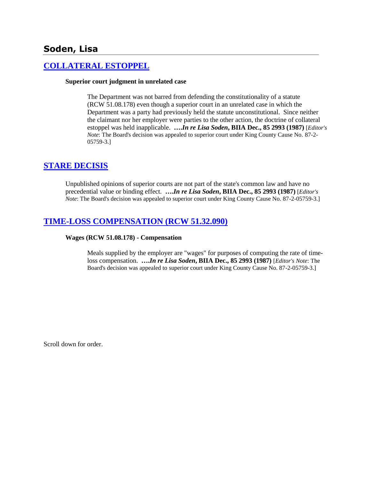# **Soden, Lisa**

# **[COLLATERAL ESTOPPEL](http://www.biia.wa.gov/SDSubjectIndex.html#COLLATERAL_ESTOPPEL)**

#### **Superior court judgment in unrelated case**

The Department was not barred from defending the constitutionality of a statute (RCW 51.08.178) even though a superior court in an unrelated case in which the Department was a party had previously held the statute unconstitutional. Since neither the claimant nor her employer were parties to the other action, the doctrine of collateral estoppel was held inapplicable. **….***In re Lisa Soden***, BIIA Dec., 85 2993 (1987)** [*Editor's Note*: The Board's decision was appealed to superior court under King County Cause No. 87-2- 05759-3.]

## **[STARE DECISIS](http://www.biia.wa.gov/SDSubjectIndex.html#STARE_DECISIS)**

Unpublished opinions of superior courts are not part of the state's common law and have no precedential value or binding effect. **….***In re Lisa Soden***, BIIA Dec., 85 2993 (1987)** [*Editor's Note*: The Board's decision was appealed to superior court under King County Cause No. 87-2-05759-3.]

# **[TIME-LOSS COMPENSATION \(RCW 51.32.090\)](http://www.biia.wa.gov/SDSubjectIndex.html#TIME_LOSS_COMPENSATION)**

#### **Wages (RCW 51.08.178) - Compensation**

Meals supplied by the employer are "wages" for purposes of computing the rate of timeloss compensation. **….***In re Lisa Soden***, BIIA Dec., 85 2993 (1987)** [*Editor's Note*: The Board's decision was appealed to superior court under King County Cause No. 87-2-05759-3.]

Scroll down for order.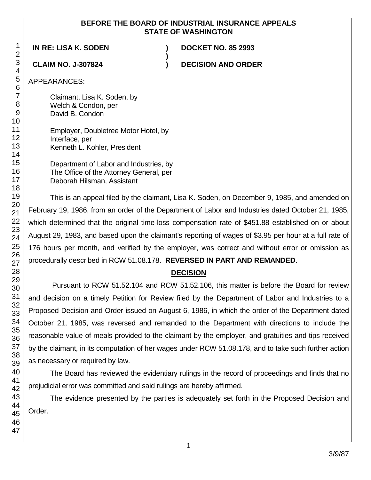## **BEFORE THE BOARD OF INDUSTRIAL INSURANCE APPEALS STATE OF WASHINGTON**

**)**

**IN RE: LISA K. SODEN ) DOCKET NO. 85 2993**

**CLAIM NO. J-307824 ) DECISION AND ORDER**

APPEARANCES:

Claimant, Lisa K. Soden, by Welch & Condon, per David B. Condon

Employer, Doubletree Motor Hotel, by Interface, per Kenneth L. Kohler, President

Department of Labor and Industries, by The Office of the Attorney General, per Deborah Hilsman, Assistant

This is an appeal filed by the claimant, Lisa K. Soden, on December 9, 1985, and amended on February 19, 1986, from an order of the Department of Labor and Industries dated October 21, 1985, which determined that the original time-loss compensation rate of \$451.88 established on or about August 29, 1983, and based upon the claimant's reporting of wages of \$3.95 per hour at a full rate of 176 hours per month, and verified by the employer, was correct and without error or omission as procedurally described in RCW 51.08.178. **REVERSED IN PART AND REMANDED**.

# **DECISION**

Pursuant to RCW 51.52.104 and RCW 51.52.106, this matter is before the Board for review and decision on a timely Petition for Review filed by the Department of Labor and Industries to a Proposed Decision and Order issued on August 6, 1986, in which the order of the Department dated October 21, 1985, was reversed and remanded to the Department with directions to include the reasonable value of meals provided to the claimant by the employer, and gratuities and tips received by the claimant, in its computation of her wages under RCW 51.08.178, and to take such further action as necessary or required by law.

The Board has reviewed the evidentiary rulings in the record of proceedings and finds that no prejudicial error was committed and said rulings are hereby affirmed.

The evidence presented by the parties is adequately set forth in the Proposed Decision and Order.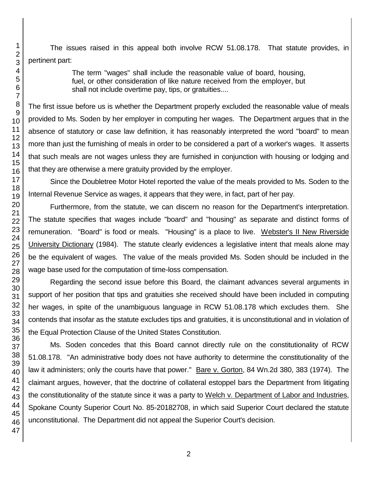The issues raised in this appeal both involve RCW 51.08.178. That statute provides, in pertinent part:

> The term "wages" shall include the reasonable value of board, housing, fuel, or other consideration of like nature received from the employer, but shall not include overtime pay, tips, or gratuities....

The first issue before us is whether the Department properly excluded the reasonable value of meals provided to Ms. Soden by her employer in computing her wages. The Department argues that in the absence of statutory or case law definition, it has reasonably interpreted the word "board" to mean more than just the furnishing of meals in order to be considered a part of a worker's wages. It asserts that such meals are not wages unless they are furnished in conjunction with housing or lodging and that they are otherwise a mere gratuity provided by the employer.

Since the Doubletree Motor Hotel reported the value of the meals provided to Ms. Soden to the Internal Revenue Service as wages, it appears that they were, in fact, part of her pay.

Furthermore, from the statute, we can discern no reason for the Department's interpretation. The statute specifies that wages include "board" and "housing" as separate and distinct forms of remuneration. "Board" is food or meals. "Housing" is a place to live. Webster's II New Riverside University Dictionary (1984). The statute clearly evidences a legislative intent that meals alone may be the equivalent of wages. The value of the meals provided Ms. Soden should be included in the wage base used for the computation of time-loss compensation.

Regarding the second issue before this Board, the claimant advances several arguments in support of her position that tips and gratuities she received should have been included in computing her wages, in spite of the unambiguous language in RCW 51.08.178 which excludes them. She contends that insofar as the statute excludes tips and gratuities, it is unconstitutional and in violation of the Equal Protection Clause of the United States Constitution.

Ms. Soden concedes that this Board cannot directly rule on the constitutionality of RCW 51.08.178. "An administrative body does not have authority to determine the constitutionality of the law it administers; only the courts have that power." Bare v. Gorton, 84 Wn.2d 380, 383 (1974). The claimant argues, however, that the doctrine of collateral estoppel bars the Department from litigating the constitutionality of the statute since it was a party to Welch v. Department of Labor and Industries, Spokane County Superior Court No. 85-20182708, in which said Superior Court declared the statute unconstitutional. The Department did not appeal the Superior Court's decision.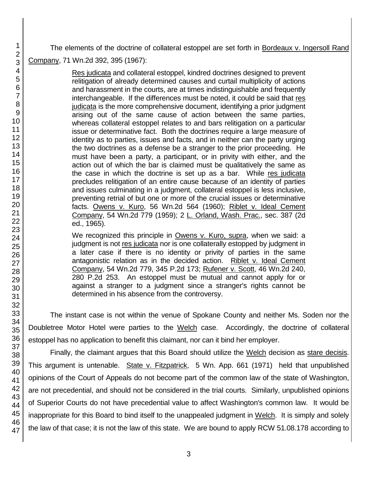The elements of the doctrine of collateral estoppel are set forth in Bordeaux v. Ingersoll Rand Company, 71 Wn.2d 392, 395 (1967):

> Res judicata and collateral estoppel, kindred doctrines designed to prevent relitigation of already determined causes and curtail multiplicity of actions and harassment in the courts, are at times indistinguishable and frequently interchangeable. If the differences must be noted, it could be said that res judicata is the more comprehensive document, identifying a prior judgment arising out of the same cause of action between the same parties, whereas collateral estoppel relates to and bars relitigation on a particular issue or determinative fact. Both the doctrines require a large measure of identity as to parties, issues and facts, and in neither can the party urging the two doctrines as a defense be a stranger to the prior proceeding. He must have been a party, a participant, or in privity with either, and the action out of which the bar is claimed must be qualitatively the same as the case in which the doctrine is set up as a bar. While res judicata precludes relitigation of an entire cause because of an identity of parties and issues culminating in a judgment, collateral estoppel is less inclusive, preventing retrial of but one or more of the crucial issues or determinative facts. Owens v. Kuro, 56 Wn.2d 564 (1960); Riblet v. Ideal Cement Company, 54 Wn.2d 779 (1959); 2 L. Orland, Wash. Prac., sec. 387 (2d ed., 1965).

> We recognized this principle in Owens v. Kuro, supra, when we said: a judgment is not res judicata nor is one collaterally estopped by judgment in a later case if there is no identity or privity of parties in the same antagonistic relation as in the decided action. Riblet v. Ideal Cement Company, 54 Wn.2d 779, 345 P.2d 173; Rufener v. Scott, 46 Wn.2d 240, 280 P.2d 253. An estoppel must be mutual and cannot apply for or against a stranger to a judgment since a stranger's rights cannot be determined in his absence from the controversy.

The instant case is not within the venue of Spokane County and neither Ms. Soden nor the Doubletree Motor Hotel were parties to the Welch case. Accordingly, the doctrine of collateral estoppel has no application to benefit this claimant, nor can it bind her employer.

Finally, the claimant argues that this Board should utilize the Welch decision as stare decisis. This argument is untenable. State v. Fitzpatrick, 5 Wn. App. 661 (1971) held that unpublished opinions of the Court of Appeals do not become part of the common law of the state of Washington, are not precedential, and should not be considered in the trial courts. Similarly, unpublished opinions of Superior Courts do not have precedential value to affect Washington's common law. It would be inappropriate for this Board to bind itself to the unappealed judgment in Welch. It is simply and solely the law of that case; it is not the law of this state. We are bound to apply RCW 51.08.178 according to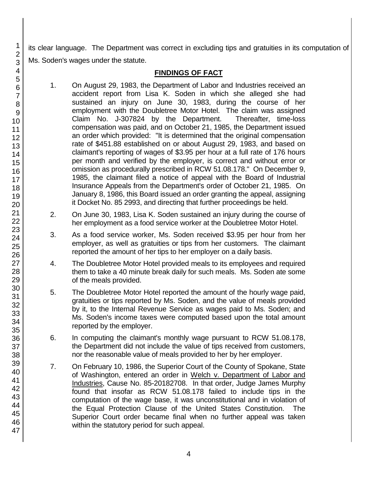its clear language. The Department was correct in excluding tips and gratuities in its computation of Ms. Soden's wages under the statute.

# **FINDINGS OF FACT**

- 1. On August 29, 1983, the Department of Labor and Industries received an accident report from Lisa K. Soden in which she alleged she had sustained an injury on June 30, 1983, during the course of her employment with the Doubletree Motor Hotel. The claim was assigned Claim No. J-307824 by the Department. Thereafter, time-loss compensation was paid, and on October 21, 1985, the Department issued an order which provided: "It is determined that the original compensation rate of \$451.88 established on or about August 29, 1983, and based on claimant's reporting of wages of \$3.95 per hour at a full rate of 176 hours per month and verified by the employer, is correct and without error or omission as procedurally prescribed in RCW 51.08.178." On December 9, 1985, the claimant filed a notice of appeal with the Board of Industrial Insurance Appeals from the Department's order of October 21, 1985. On January 8, 1986, this Board issued an order granting the appeal, assigning it Docket No. 85 2993, and directing that further proceedings be held.
- 2. On June 30, 1983, Lisa K. Soden sustained an injury during the course of her employment as a food service worker at the Doubletree Motor Hotel.
- 3. As a food service worker, Ms. Soden received \$3.95 per hour from her employer, as well as gratuities or tips from her customers. The claimant reported the amount of her tips to her employer on a daily basis.
- 4. The Doubletree Motor Hotel provided meals to its employees and required them to take a 40 minute break daily for such meals. Ms. Soden ate some of the meals provided.
- 5. The Doubletree Motor Hotel reported the amount of the hourly wage paid, gratuities or tips reported by Ms. Soden, and the value of meals provided by it, to the Internal Revenue Service as wages paid to Ms. Soden; and Ms. Soden's income taxes were computed based upon the total amount reported by the employer.
- 6. In computing the claimant's monthly wage pursuant to RCW 51.08.178, the Department did not include the value of tips received from customers, nor the reasonable value of meals provided to her by her employer.
- 7. On February 10, 1986, the Superior Court of the County of Spokane, State of Washington, entered an order in Welch v. Department of Labor and Industries, Cause No. 85-20182708. In that order, Judge James Murphy found that insofar as RCW 51.08.178 failed to include tips in the computation of the wage base, it was unconstitutional and in violation of the Equal Protection Clause of the United States Constitution. The Superior Court order became final when no further appeal was taken within the statutory period for such appeal.